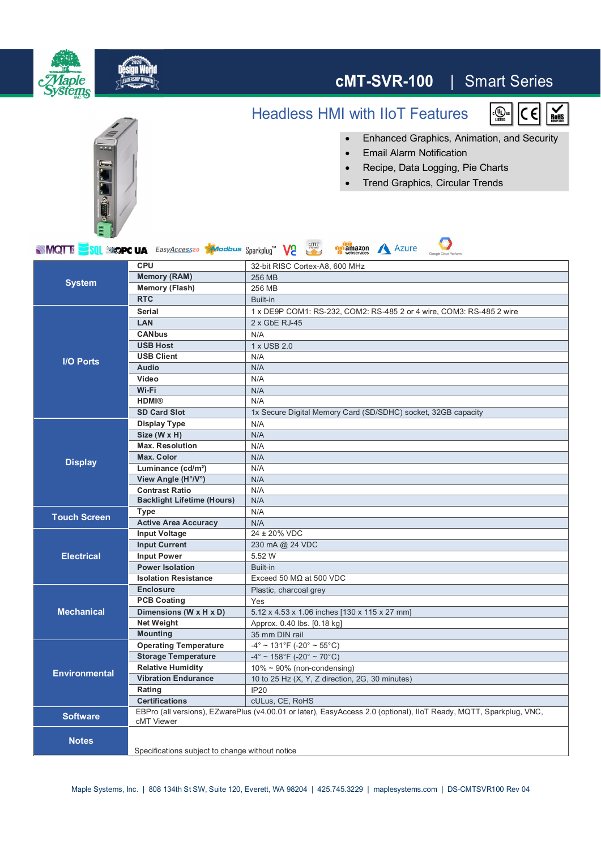

|                      |                                                                                                                    | 11/7                                            |
|----------------------|--------------------------------------------------------------------------------------------------------------------|-------------------------------------------------|
|                      | <b>Contrast Ratio</b>                                                                                              | N/A                                             |
|                      | <b>Backlight Lifetime (Hours)</b>                                                                                  | N/A                                             |
| <b>Touch Screen</b>  | Type                                                                                                               | N/A                                             |
|                      | <b>Active Area Accuracy</b>                                                                                        | N/A                                             |
| <b>Electrical</b>    | <b>Input Voltage</b>                                                                                               | $24 \pm 20\%$ VDC                               |
|                      | <b>Input Current</b>                                                                                               | 230 mA @ 24 VDC                                 |
|                      | <b>Input Power</b>                                                                                                 | 5.52 W                                          |
|                      | <b>Power Isolation</b>                                                                                             | Built-in                                        |
| <b>Mechanical</b>    | <b>Isolation Resistance</b>                                                                                        | Exceed 50 $MO$ at 500 VDC                       |
|                      | <b>Enclosure</b>                                                                                                   | Plastic, charcoal grey                          |
|                      | <b>PCB Coating</b>                                                                                                 | Yes                                             |
|                      | Dimensions (W x H x D)                                                                                             | 5.12 x 4.53 x 1.06 inches [130 x 115 x 27 mm]   |
|                      | <b>Net Weight</b>                                                                                                  | Approx. 0.40 lbs. [0.18 kg]                     |
|                      | <b>Mounting</b>                                                                                                    | 35 mm DIN rail                                  |
| <b>Environmental</b> | <b>Operating Temperature</b>                                                                                       | $-4^{\circ}$ ~ 131°F (-20° ~ 55°C)              |
|                      | <b>Storage Temperature</b>                                                                                         | $-4^{\circ}$ ~ 158°F (-20° ~ 70°C)              |
|                      | <b>Relative Humidity</b>                                                                                           | $10\% \sim 90\%$ (non-condensing)               |
|                      | <b>Vibration Endurance</b>                                                                                         | 10 to 25 Hz (X, Y, Z direction, 2G, 30 minutes) |
|                      | Rating                                                                                                             | IP20                                            |
|                      | <b>Certifications</b>                                                                                              | cULus, CE, RoHS                                 |
| <b>Software</b>      | EBPro (all versions), EZwarePlus (v4.00.01 or later), EasyAccess 2.0 (optional), IIoT Ready, MQTT, Sparkplug, VNC, |                                                 |
|                      | cMT Viewer                                                                                                         |                                                 |
| <b>Notes</b>         |                                                                                                                    |                                                 |
|                      | Specifications subject to change without notice                                                                    |                                                 |
|                      |                                                                                                                    |                                                 |

Maple Systems, Inc. | 808 134th St SW, Suite 120, Everett, WA 98204 | 425.745.3229 | maplesystems.com | DS-CMTSVR100 Rev 04